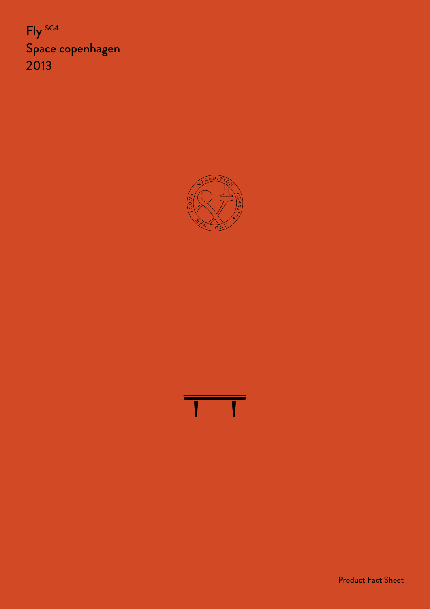Fly SC4 Space copenhagen 2013





Product Fact Sheet